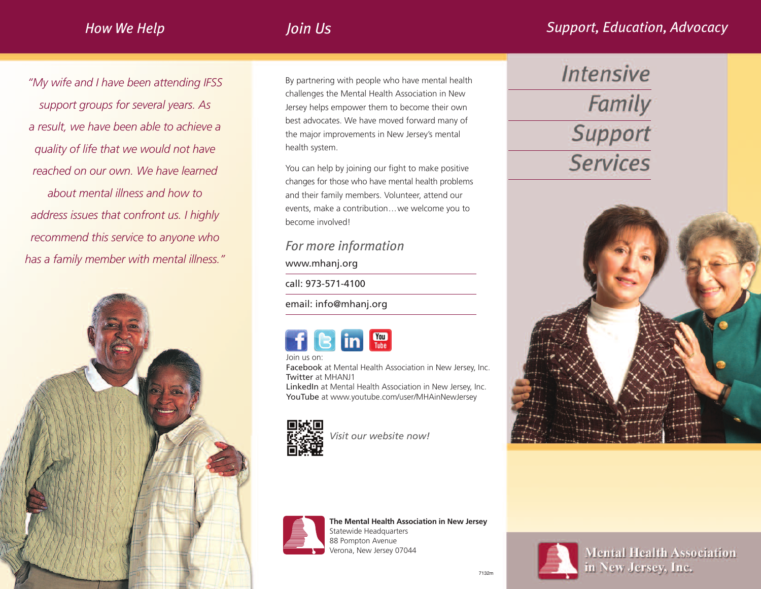# *Join Us*

*"My wife and I have been attending IFSS support groups for several years. As a result, we have been able to achieve a quality of life that we would not have reached on our own. We have learned about mental illness and how to address issues that confront us. I highly recommend this service to anyone who has a family member with mental illness."*



By partnering with people who have mental health challenges the Mental Health Association in New Jersey helps empower them to become their own best advocates. We have moved forward many of the major improvements in New Jersey's mental health system.

You can help by joining our fight to make positive changes for those who have mental health problems and their family members. Volunteer, attend our events, make a contribution...we welcome you to become involved!

## *For more information*

www.mhanj.org

call: 973-571-4100

email: info@mhanj.org

Join us on:

Facebook at Mental Health Association in New Jersey, Inc. Twitter at MHANJ1

LinkedIn at Mental Health Association in New Jersey, Inc. YouTube at www.youtube.com/user/MHAinNewJersey



*Visit our website now!*



**The Mental Health Association in New Jersey** Statewide Headquarters

88 Pompton Avenue Verona, New Jersey 07044

# **Intensive** Family Support **Services**